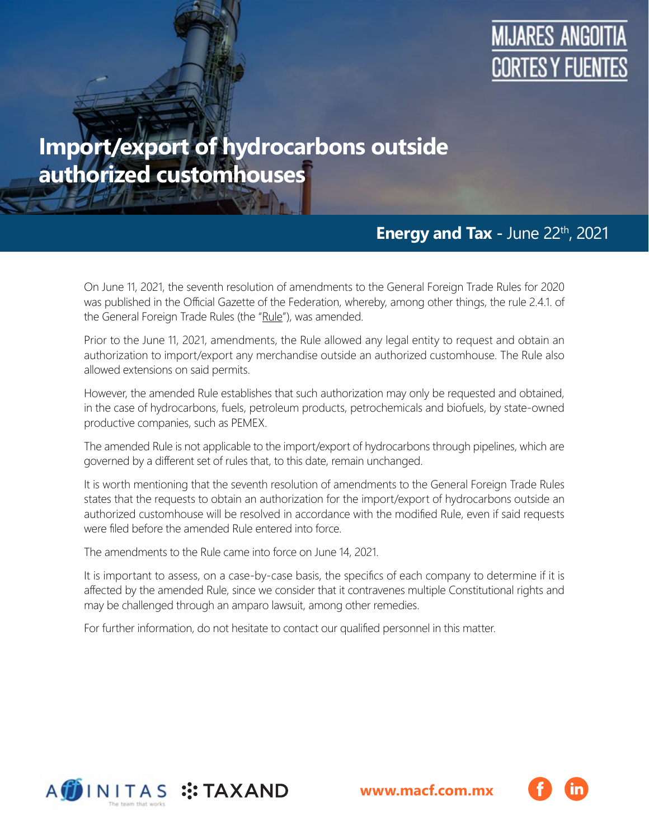

# **Import/export of hydrocarbons outside authorized customhouses**

### **Energy and Tax -** June 22th, 2021

On June 11, 2021, the seventh resolution of amendments to the General Foreign Trade Rules for 2020 was published in the Official Gazette of the Federation, whereby, among other things, the rule 2.4.1. of the General Foreign Trade Rules (the "Rule"), was amended.

Prior to the June 11, 2021, amendments, the Rule allowed any legal entity to request and obtain an authorization to import/export any merchandise outside an authorized customhouse. The Rule also allowed extensions on said permits.

However, the amended Rule establishes that such authorization may only be requested and obtained, in the case of hydrocarbons, fuels, petroleum products, petrochemicals and biofuels, by state-owned productive companies, such as PEMEX.

The amended Rule is not applicable to the import/export of hydrocarbons through pipelines, which are governed by a different set of rules that, to this date, remain unchanged.

It is worth mentioning that the seventh resolution of amendments to the General Foreign Trade Rules states that the requests to obtain an authorization for the import/export of hydrocarbons outside an authorized customhouse will be resolved in accordance with the modified Rule, even if said requests were filed before the amended Rule entered into force.

The amendments to the Rule came into force on June 14, 2021.

It is important to assess, on a case-by-case basis, the specifics of each company to determine if it is affected by the amended Rule, since we consider that it contravenes multiple Constitutional rights and may be challenged through an amparo lawsuit, among other remedies.

For further information, do not hesitate to contact our qualified personnel in this matter.



**[www.macf.com.mx](https://macf.com.mx/)**